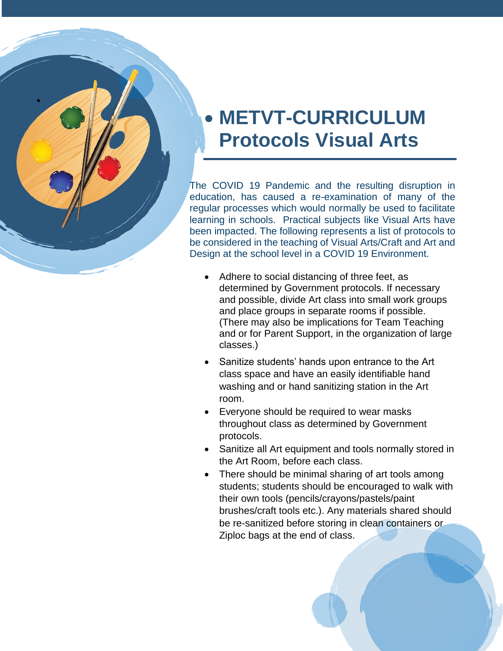## **• METVT-CURRICULUM Protocols Visual Arts**

 $\bullet$ 

The COVID 19 Pandemic and the resulting disruption in education, has caused a re -examination of many of the regular processes which would normally be used to facilitate learning in schools. Practical subjects like Visual Arts have been impacted. The following represents a list of protocols to be considered in the teaching of Visual Arts/Craft and Art and Design at the school level in a COVID 19 Environment.

- Adhere to social distancing of three feet, as determined by Government protocols. If necessary and possible, divide Art class into s mall work groups and place groups in separate rooms if possible . (There may also be implications for Team Teaching and or for Parent Support, in the organization of large classes. )
- Sanitize students' hands upon entrance to the Art class space and have an easily identifiable hand washing and or hand sanitizing station in the Art room.
- Everyone should be required to wear masks throughout class as determined by Government protocols.
- Sanitize all Art equipment and tools normally stored in the Art Room, before each class.
- There should be minimal sharing of art tools among students; students should be encouraged to walk with their own tools (pencils/crayons/pastels/paint brushes/craft tools etc.). Any materials shared should be re -sanitized before storing in clean containers or Ziploc bags at the end of class.